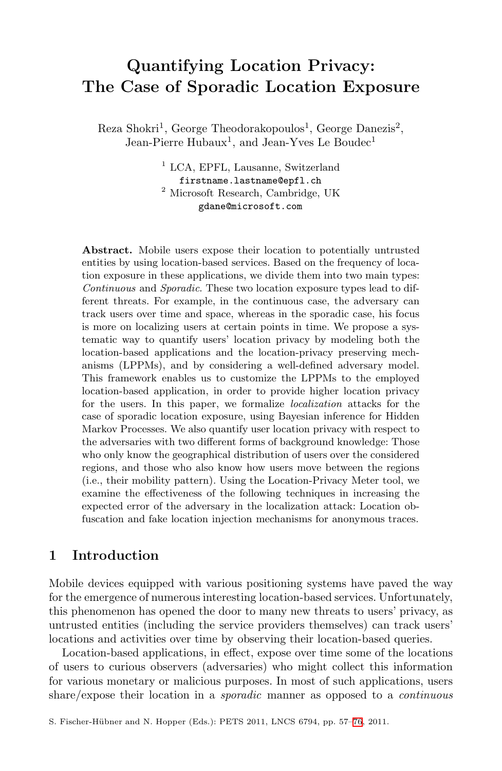# **Quantifying Location Privacy: The Case of Sporadic Location Exposure**

Reza Shokri<sup>1</sup>, George Theodorakopoulos<sup>1</sup>, George Danezis<sup>2</sup>, Jean-Pierre Hubaux<sup>1</sup>, and Jean-Yves Le Boudec<sup>1</sup>

> <sup>1</sup> LCA, EPFL, Lausanne, Switzerland firstname.lastname@epfl.ch <sup>2</sup> Microsoft Research, Cambridge, UK gdane@microsoft.com

**Abstract.** Mobile users expose their location to potentially untrusted entities by using location-based services. Based on the frequency of location exposure in these applications, we divide them into two main types: *Continuous* and *Sporadic*. These two location exposure types lead to different threats. For example, in the continuous case, the adversary can track users over time and space, whereas in the sporadic case, his focus is more on localizing users at certain points in time. We propose a systematic way to quantify users' location privacy by modeling both the location-based applications and the location-privacy preserving mechanisms (LPPMs), and by considering a well-defined adversary model. This framework enables us to customize the LPPMs to the employed location-based application, in order to provide higher location privacy for the users. In this paper, we formalize *localization* attacks for the case of sporadic location exposure, using Bayesian inference for Hidden Markov Processes. We also quantify user location privacy with respect to the adversaries with two different forms of background knowledge: Those who only know the geographical distribution of users over the considered regions, and those who also know how users move between the regions (i.e., their mobility pattern). Using the Location-Privacy Meter tool, we examine the effectiveness of the following techniques in increasing the expected error of the adversary in the localization attack: Location obfuscation and fake location injection mechanisms for anonymous traces.

## **1 Introduction**

Mobile devices equipped with various positioning systems have paved the way for the emergence of numerous interesting location-based services. Unfortunately, this phenomenon has opened the door to many new threats to users' privacy, as untrusted entities (including the service providers themselves) can track users' locations and activities over time by observing their location-based queries.

Location-based applications, in effect, expose over time some of the locations of users to curious observers (adversaries) who might collect this information for various monetary or malicious purposes. In most of such applications, users share/expose their location in a *sporadic* manner as opposed to a *continuous*

S. Fischer-Hübner and N. Hopper (Eds.): PETS 2011, LNCS 6794, pp. 57-76, 2011.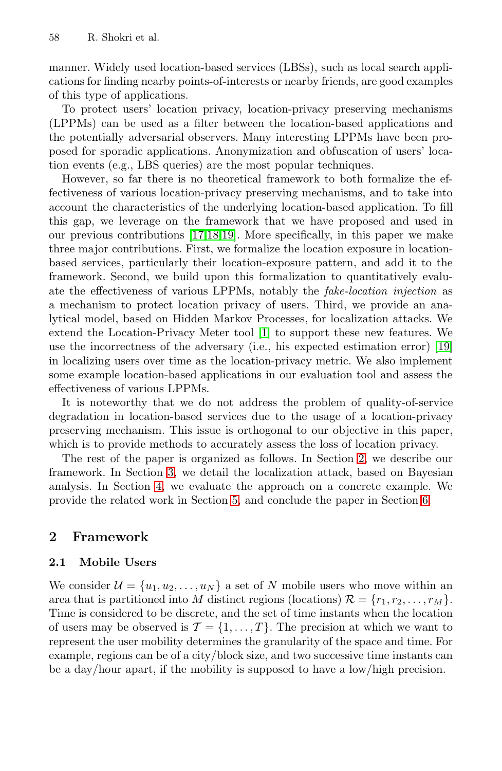manner. Widely used location-based services (LBSs), such as local search applications for finding nearby points-of-interests or nearby friends, are good examples of this type of applications.

To protect users' location privacy, location-privacy preserving mechanisms (LPPMs) can be used as a filter between the location-based applications and the potentially adversarial observers. Many interesting LPPMs have been proposed for sporadic applications. Anonymization and obfuscation of users' location events (e.g., LBS queries) are the most popular techniques.

However, so far there is no theoretical framework to both formalize the effectiveness of various location-privacy preserving mechanisms, and to take into account the characteristics of the underlying location-based application. To fill this gap, we leverage on the framework that we have proposed and used in our previous contributions [\[17](#page-16-0)[,18](#page-17-0)[,19\]](#page-17-1). More specifically, in this paper we make three major contributions. First, we formalize the location exposure in locationbased services, particularly their location-exposure pattern, and add it to the framework. Second, we build upon this formalization to quantitatively evaluate the effectiveness of various LPPMs, notably the *fake-location injection* as a mechanism to protect location privacy of users. Third, we provide an analytical model, based on Hidden Markov Processes, for localization attacks. We extend the Location-Privacy Meter tool [\[1\]](#page-16-1) to support these new features. We use the incorrectness of the adversary (i.e., his expected estimation error) [\[19\]](#page-17-1) in localizing users over time as the location-privacy metric. We also implement some example location-based applications in our evaluation tool and assess the effectiveness of various LPPMs.

It is noteworthy that we do not address the problem of quality-of-service degradation in location-based services due to the usage of a location-privacy preserving mechanism. This issue is orthogonal to our objective in this paper, which is to provide methods to accurately assess the loss of location privacy.

The rest of the paper is organized as follows. In Section [2,](#page-1-0) we describe our framework. In Section [3,](#page-5-0) we detail the localization attack, based on Bayesian analysis. In Section [4,](#page-10-0) we evaluate the approach on a concrete example. We provide the related work in Section [5,](#page-14-0) and conclude the paper in Section [6.](#page-15-0)

## <span id="page-1-0"></span>**2 Framework**

### **2.1 Mobile Users**

We consider  $\mathcal{U} = \{u_1, u_2, \dots, u_N\}$  a set of N mobile users who move within an area that is partitioned into M distinct regions (locations)  $\mathcal{R} = \{r_1, r_2, \ldots, r_M\}.$ Time is considered to be discrete, and the set of time instants when the location of users may be observed is  $\mathcal{T} = \{1, \ldots, T\}$ . The precision at which we want to represent the user mobility determines the granularity of the space and time. For example, regions can be of a city/block size, and two successive time instants can be a day/hour apart, if the mobility is supposed to have a low/high precision.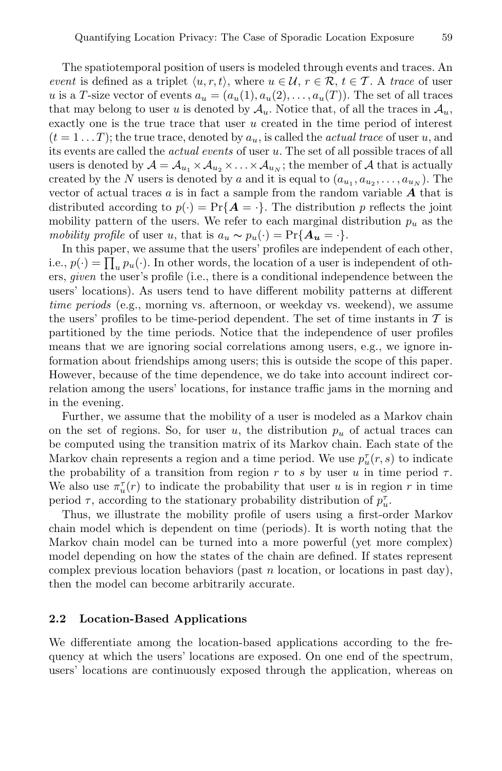The spatiotemporal position of users is modeled through events and traces. An *event* is defined as a triplet  $\langle u, r, t \rangle$ , where  $u \in \mathcal{U}$ ,  $r \in \mathcal{R}$ ,  $t \in \mathcal{T}$ . A *trace* of user u is a T-size vector of events  $a_u = (a_u(1), a_u(2), \ldots, a_u(T))$ . The set of all traces that may belong to user u is denoted by  $A_u$ . Notice that, of all the traces in  $A_u$ , exactly one is the true trace that user u created in the time period of interest  $(t = 1...T)$ ; the true trace, denoted by  $a_u$ , is called the *actual trace* of user u, and its events are called the *actual events* of user u. The set of all possible traces of all users is denoted by  $A = A_{u_1} \times A_{u_2} \times \ldots \times A_{u_N}$ ; the member of A that is actually created by the N users is denoted by a and it is equal to  $(a_{u_1}, a_{u_2}, \ldots, a_{u_N})$ . The vector of actual traces a is in fact a sample from the random variable *A* that is distributed according to  $p(\cdot) = \Pr{A = \cdot}$ . The distribution p reflects the joint mobility pattern of the users. We refer to each marginal distribution  $p_u$  as the *mobility profile* of user u, that is  $a_u \sim p_u(\cdot) = \Pr\{A_u = \cdot\}.$ 

In this paper, we assume that the users' profiles are independent of each other, i.e.,  $p(\cdot) = \prod_u p_u(\cdot)$ . In other words, the location of a user is independent of others, *given* the user's profile (i.e., there is a conditional independence between the users' locations). As users tend to have different mobility patterns at different *time periods* (e.g., morning vs. afternoon, or weekday vs. weekend), we assume the users' profiles to be time-period dependent. The set of time instants in  $\mathcal T$  is partitioned by the time periods. Notice that the independence of user profiles means that we are ignoring social correlations among users, e.g., we ignore information about friendships among users; this is outside the scope of this paper. However, because of the time dependence, we do take into account indirect correlation among the users' locations, for instance traffic jams in the morning and in the evening.

Further, we assume that the mobility of a user is modeled as a Markov chain on the set of regions. So, for user  $u$ , the distribution  $p_u$  of actual traces can be computed using the transition matrix of its Markov chain. Each state of the Markov chain represents a region and a time period. We use  $p_u^{\tau}(r, s)$  to indicate the probability of a transition from region r to s by user u in time period  $\tau$ . We also use  $\pi_u^{\tau}(r)$  to indicate the probability that user u is in region r in time period  $\tau$ , according to the stationary probability distribution of  $p_u^{\tau}$ .

Thus, we illustrate the mobility profile of users using a first-order Markov chain model which is dependent on time (periods). It is worth noting that the Markov chain model can be turned into a more powerful (yet more complex) model depending on how the states of the chain are defined. If states represent complex previous location behaviors (past  $n$  location, or locations in past day), then the model can become arbitrarily accurate.

#### **2.2 Location-Based Applications**

We differentiate among the location-based applications according to the frequency at which the users' locations are exposed. On one end of the spectrum, users' locations are continuously exposed through the application, whereas on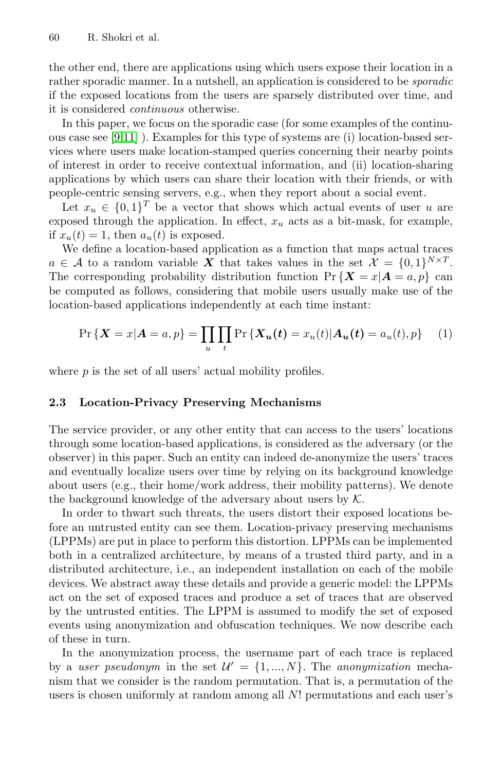the other end, there are applications using which users expose their location in a rather sporadic manner. In a nutshell, an application is considered to be *sporadic* if the exposed locations from the users are sparsely distributed over time, and it is considered *continuous* otherwise.

In this paper, we focus on the sporadic case (for some examples of the continuous case see [\[9,](#page-16-2)[11\]](#page-16-3) ). Examples for this type of systems are (i) location-based services where users make location-stamped queries concerning their nearby points of interest in order to receive contextual information, and (ii) location-sharing applications by which users can share their location with their friends, or with people-centric sensing servers, e.g., when they report about a social event.

Let  $x_u \in \{0,1\}^T$  be a vector that shows which actual events of user u are exposed through the application. In effect,  $x_u$  acts as a bit-mask, for example, if  $x_u(t) = 1$ , then  $a_u(t)$  is exposed.

We define a location-based application as a function that maps actual traces  $a \in \mathcal{A}$  to a random variable **X** that takes values in the set  $\mathcal{X} = \{0,1\}^{N \times T}$ . The corresponding probability distribution function  $Pr\{X = x | A = a, p\}$  can be computed as follows, considering that mobile users usually make use of the location-based applications independently at each time instant:

$$
\Pr\left\{X = x | A = a, p\right\} = \prod_{u} \prod_{t} \Pr\left\{X_u(t) = x_u(t) | A_u(t) = a_u(t), p\right\} \tag{1}
$$

where  $p$  is the set of all users' actual mobility profiles.

### **2.3 Location-Privacy Preserving Mechanisms**

The service provider, or any other entity that can access to the users' locations through some location-based applications, is considered as the adversary (or the observer) in this paper. Such an entity can indeed de-anonymize the users' traces and eventually localize users over time by relying on its background knowledge about users (e.g., their home/work address, their mobility patterns). We denote the background knowledge of the adversary about users by  $K$ .

In order to thwart such threats, the users distort their exposed locations before an untrusted entity can see them. Location-privacy preserving mechanisms (LPPMs) are put in place to perform this distortion. LPPMs can be implemented both in a centralized architecture, by means of a trusted third party, and in a distributed architecture, i.e., an independent installation on each of the mobile devices. We abstract away these details and provide a generic model: the LPPMs act on the set of exposed traces and produce a set of traces that are observed by the untrusted entities. The LPPM is assumed to modify the set of exposed events using anonymization and obfuscation techniques. We now describe each of these in turn.

In the anonymization process, the username part of each trace is replaced by a *user pseudonym* in the set  $\mathcal{U}' = \{1, ..., N\}$ . The *anonymization* mechanism that we consider is the random permutation. That is, a permutation of the users is chosen uniformly at random among all N! permutations and each user's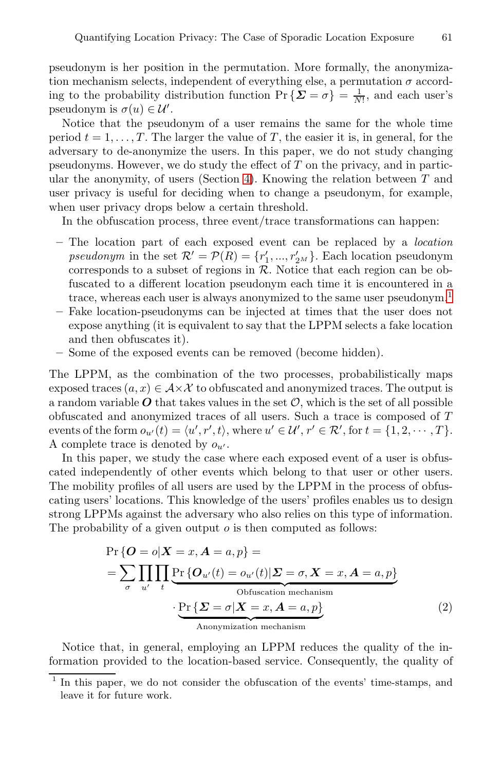pseudonym is her position in the permutation. More formally, the anonymization mechanism selects, independent of everything else, a permutation  $\sigma$  according to the probability distribution function  $\Pr\{\mathbf{\Sigma} = \sigma\} = \frac{1}{N!}$ , and each user's pseudonym is  $\sigma(u) \in \mathcal{U}'$ .

Notice that the pseudonym of a user remains the same for the whole time period  $t = 1, \ldots, T$ . The larger the value of T, the easier it is, in general, for the adversary to de-anonymize the users. In this paper, we do not study changing pseudonyms. However, we do study the effect of T on the privacy, and in partic-ular the anonymity, of users (Section [4\)](#page-10-0). Knowing the relation between  $T$  and user privacy is useful for deciding when to change a pseudonym, for example, when user privacy drops below a certain threshold.

In the obfuscation process, three event/trace transformations can happen:

- **–** The location part of each exposed event can be replaced by a *location* pseudonym in the set  $\mathcal{R}' = \mathcal{P}(R) = \{r'_1, ..., r'_{2^M}\}$ . Each location pseudonym corresponds to a subset of regions in  $R$ . Notice that each region can be obfuscated to a different location pseudonym each time it is encountered in a trace, whereas each user is always anonymized to the same user pseudonym.<sup>[1](#page-4-0)</sup>
- **–** Fake location-pseudonyms can be injected at times that the user does not expose anything (it is equivalent to say that the LPPM selects a fake location and then obfuscates it).
- **–** Some of the exposed events can be removed (become hidden).

The LPPM, as the combination of the two processes, probabilistically maps exposed traces  $(a, x) \in \mathcal{A} \times \mathcal{X}$  to obfuscated and anonymized traces. The output is a random variable  $O$  that takes values in the set  $O$ , which is the set of all possible obfuscated and anonymized traces of all users. Such a trace is composed of T events of the form  $o_{u'}(t) = \langle u', r', t \rangle$ , where  $u' \in \mathcal{U}', r' \in \mathcal{R}'$ , for  $t = \{1, 2, \cdots, T\}$ . A complete trace is denoted by  $o_{u'}$ .

In this paper, we study the case where each exposed event of a user is obfuscated independently of other events which belong to that user or other users. The mobility profiles of all users are used by the LPPM in the process of obfuscating users' locations. This knowledge of the users' profiles enables us to design strong LPPMs against the adversary who also relies on this type of information. The probability of a given output  $\sigma$  is then computed as follows:

$$
\Pr\{O = o|X = x, A = a, p\} =
$$
\n
$$
= \sum_{\sigma} \prod_{u'} \prod_{t} \Pr\{O_{u'}(t) = o_{u'}(t)|\Sigma = \sigma, X = x, A = a, p\}
$$
\n
$$
\underbrace{\Pr\{\Sigma = \sigma|X = x, A = a, p\}}_{\text{Approximation mechanism}}
$$
\n(2)

Notice that, in general, employing an LPPM reduces the quality of the information provided to the location-based service. Consequently, the quality of

<span id="page-4-0"></span><sup>&</sup>lt;sup>1</sup> In this paper, we do not consider the obfuscation of the events' time-stamps, and leave it for future work.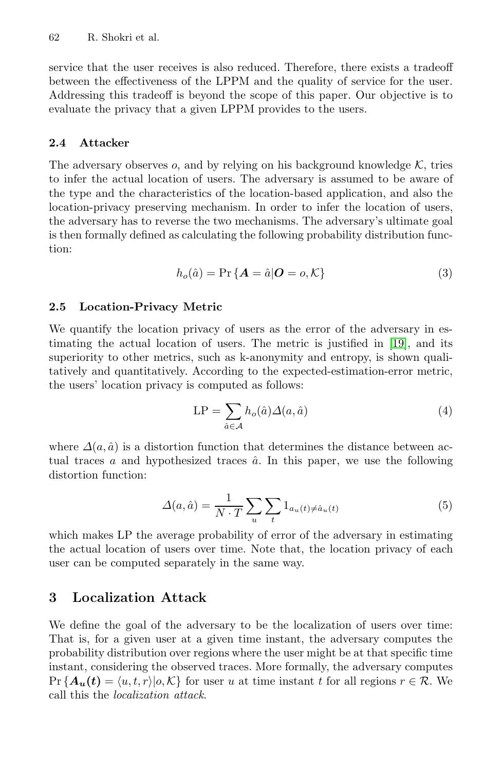service that the user receives is also reduced. Therefore, there exists a tradeoff between the effectiveness of the LPPM and the quality of service for the user. Addressing this tradeoff is beyond the scope of this paper. Our objective is to evaluate the privacy that a given LPPM provides to the users.

## **2.4 Attacker**

The adversary observes  $o$ , and by relying on his background knowledge  $K$ , tries to infer the actual location of users. The adversary is assumed to be aware of the type and the characteristics of the location-based application, and also the location-privacy preserving mechanism. In order to infer the location of users, the adversary has to reverse the two mechanisms. The adversary's ultimate goal is then formally defined as calculating the following probability distribution function:

<span id="page-5-1"></span>
$$
h_o(\hat{a}) = \Pr\left\{ \mathbf{A} = \hat{a} | \mathbf{O} = o, \mathcal{K} \right\} \tag{3}
$$

## <span id="page-5-2"></span>**2.5 Location-Privacy Metric**

We quantify the location privacy of users as the error of the adversary in estimating the actual location of users. The metric is justified in [\[19\]](#page-17-1), and its superiority to other metrics, such as k-anonymity and entropy, is shown qualitatively and quantitatively. According to the expected-estimation-error metric, the users' location privacy is computed as follows:

$$
LP = \sum_{\hat{a} \in \mathcal{A}} h_o(\hat{a}) \Delta(a, \hat{a}) \tag{4}
$$

where  $\Delta(a, \hat{a})$  is a distortion function that determines the distance between actual traces  $a$  and hypothesized traces  $\hat{a}$ . In this paper, we use the following distortion function:

$$
\Delta(a,\hat{a}) = \frac{1}{N \cdot T} \sum_{u} \sum_{t} 1_{a_u(t) \neq \hat{a}_u(t)} \tag{5}
$$

which makes LP the average probability of error of the adversary in estimating the actual location of users over time. Note that, the location privacy of each user can be computed separately in the same way.

## <span id="page-5-0"></span>**3 Localization Attack**

We define the goal of the adversary to be the localization of users over time: That is, for a given user at a given time instant, the adversary computes the probability distribution over regions where the user might be at that specific time instant, considering the observed traces. More formally, the adversary computes  $Pr\{\mathbf{A}_{u}(t) = \langle u, t, r \rangle | o, \mathcal{K}\}\)$  for user u at time instant t for all regions  $r \in \mathcal{R}$ . We call this the *localization attack*.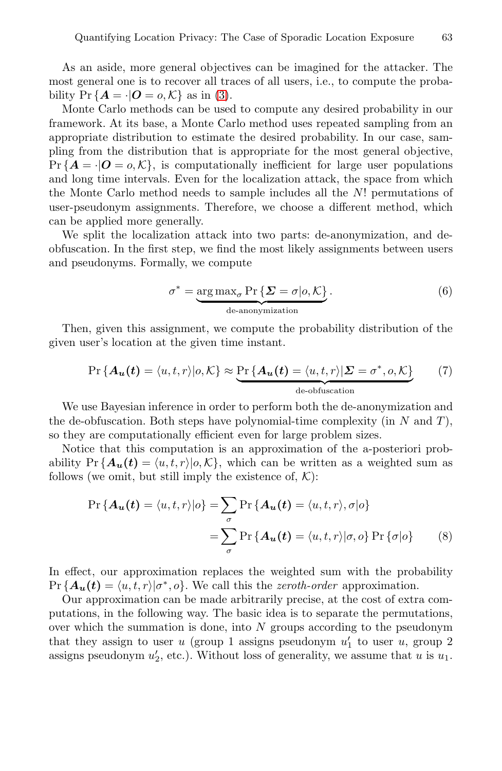As an aside, more general objectives can be imagined for the attacker. The most general one is to recover all traces of all users, i.e., to compute the probability  $Pr\{A = \cdot | O = 0, \mathcal{K}\}\$ as in [\(3\)](#page-5-1).

Monte Carlo methods can be used to compute any desired probability in our framework. At its base, a Monte Carlo method uses repeated sampling from an appropriate distribution to estimate the desired probability. In our case, sampling from the distribution that is appropriate for the most general objective,  $Pr\{A = |O = o, K\}$ , is computationally inefficient for large user populations and long time intervals. Even for the localization attack, the space from which the Monte Carlo method needs to sample includes all the N! permutations of user-pseudonym assignments. Therefore, we choose a different method, which can be applied more generally.

<span id="page-6-0"></span>We split the localization attack into two parts: de-anonymization, and deobfuscation. In the first step, we find the most likely assignments between users and pseudonyms. Formally, we compute

$$
\sigma^* = \underbrace{\arg \max_{\sigma} \Pr \{ \Sigma = \sigma | o, \mathcal{K} \}}_{\text{de-anonymization}}.
$$
 (6)

<span id="page-6-1"></span>Then, given this assignment, we compute the probability distribution of the given user's location at the given time instant.

$$
\Pr\left\{\mathbf{A}_{\mathbf{u}}(t) = \langle u, t, r \rangle | o, \mathcal{K}\right\} \approx \underbrace{\Pr\left\{\mathbf{A}_{\mathbf{u}}(t) = \langle u, t, r \rangle | \mathbf{\Sigma} = \sigma^*, o, \mathcal{K}\right\}}_{\text{de-obfuscation}} \tag{7}
$$

We use Bayesian inference in order to perform both the de-anonymization and the de-obfuscation. Both steps have polynomial-time complexity (in  $N$  and  $T$ ), so they are computationally efficient even for large problem sizes.

Notice that this computation is an approximation of the a-posteriori probability  $Pr\{A_u(t) = \langle u, t, r \rangle | o, \mathcal{K}\}\$ , which can be written as a weighted sum as follows (we omit, but still imply the existence of,  $K$ ):

$$
\Pr\{A_{u}(t) = \langle u, t, r \rangle | o\} = \sum_{\sigma} \Pr\{A_{u}(t) = \langle u, t, r \rangle, \sigma | o\}
$$

$$
= \sum_{\sigma} \Pr\{A_{u}(t) = \langle u, t, r \rangle | \sigma, o\} \Pr\{\sigma | o\} \tag{8}
$$

In effect, our approximation replaces the weighted sum with the probability  $\Pr\{A_{\boldsymbol{u}}(\boldsymbol{t}) = \langle u, t, r \rangle | \sigma^*, o\}.$  We call this the *zeroth-order* approximation.

Our approximation can be made arbitrarily precise, at the cost of extra computations, in the following way. The basic idea is to separate the permutations, over which the summation is done, into  $N$  groups according to the pseudonym that they assign to user  $u$  (group 1 assigns pseudonym  $u'_1$  to user  $u$ , group 2 assigns pseudonym  $u'_2$ , etc.). Without loss of generality, we assume that u is  $u_1$ .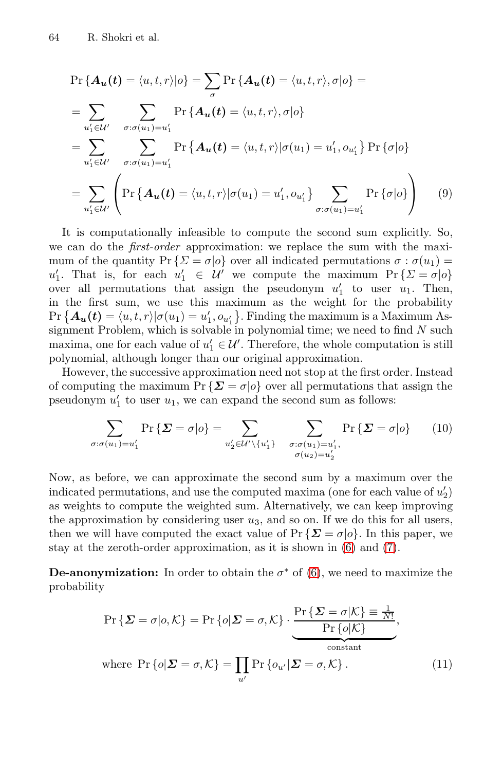$$
\Pr\left\{\mathbf{A}_{u}(t) = \langle u, t, r \rangle | o \right\} = \sum_{\sigma} \Pr\left\{\mathbf{A}_{u}(t) = \langle u, t, r \rangle, \sigma | o \right\} =
$$
\n
$$
= \sum_{u'_{1} \in \mathcal{U}'} \sum_{\sigma : \sigma(u_{1}) = u'_{1}} \Pr\left\{\mathbf{A}_{u}(t) = \langle u, t, r \rangle, \sigma | o \right\}
$$
\n
$$
= \sum_{u'_{1} \in \mathcal{U}'} \sum_{\sigma : \sigma(u_{1}) = u'_{1}} \Pr\left\{\mathbf{A}_{u}(t) = \langle u, t, r \rangle | \sigma(u_{1}) = u'_{1}, o_{u'_{1}}\right\} \Pr\left\{\sigma | o \right\}
$$
\n
$$
= \sum_{u'_{1} \in \mathcal{U}'} \left(\Pr\left\{\mathbf{A}_{u}(t) = \langle u, t, r \rangle | \sigma(u_{1}) = u'_{1}, o_{u'_{1}}\right\} \sum_{\sigma : \sigma(u_{1}) = u'_{1}} \Pr\left\{\sigma | o \right\}\right) \tag{9}
$$

It is computationally infeasible to compute the second sum explicitly. So, we can do the *first-order* approximation: we replace the sum with the maximum of the quantity Pr { $\Sigma = \sigma | \rho$ } over all indicated permutations  $\sigma : \sigma(u_1) =$  $u'_1$ . That is, for each  $u'_1 \in \mathcal{U}'$  we compute the maximum  $\Pr \{ \Sigma = \sigma | o \}$ over all permutations that assign the pseudonym  $u'_1$  to user  $u_1$ . Then, in the first sum, we use this maximum as the weight for the probability  $\Pr\left\{\bm{A}_{\bm{u}}(\bm{t}) = \langle u, t, r \rangle | \sigma(u_1) = u_1', o_{u_1'} \right\}$ . Finding the maximum is a Maximum Assignment Problem, which is solvable in polynomial time; we need to find  $N$  such maxima, one for each value of  $u'_1 \in \mathcal{U}'$ . Therefore, the whole computation is still polynomial, although longer than our original approximation.

However, the successive approximation need not stop at the first order. Instead of computing the maximum  $\Pr \{ \mathbf{\Sigma} = \sigma | o \}$  over all permutations that assign the pseudonym  $u'_1$  to user  $u_1$ , we can expand the second sum as follows:

$$
\sum_{\sigma:\sigma(u_1)=u'_1} \Pr\left\{ \Sigma = \sigma | o \right\} = \sum_{u'_2 \in \mathcal{U}' \setminus \{u'_1\}} \sum_{\substack{\sigma:\sigma(u_1)=u'_1, \\ \sigma(u_2)=u'_2}} \Pr\left\{ \Sigma = \sigma | o \right\} \tag{10}
$$

Now, as before, we can approximate the second sum by a maximum over the indicated permutations, and use the computed maxima (one for each value of  $u_2'$ ) as weights to compute the weighted sum. Alternatively, we can keep improving the approximation by considering user  $u_3$ , and so on. If we do this for all users, then we will have computed the exact value of  $Pr {\Sigma = \sigma |o}$ . In this paper, we stay at the zeroth-order approximation, as it is shown in [\(6\)](#page-6-0) and [\(7\)](#page-6-1).

**De-anonymization:** In order to obtain the  $\sigma^*$  of [\(6\)](#page-6-0), we need to maximize the probability

<span id="page-7-0"></span>
$$
\Pr\{\Sigma = \sigma | o, \mathcal{K}\} = \Pr\{o | \Sigma = \sigma, \mathcal{K}\} \cdot \frac{\Pr\{\Sigma = \sigma | \mathcal{K}\} \equiv \frac{1}{N!}}{\Pr\{o | \mathcal{K}\}},
$$
\nwhere 
$$
\Pr\{o | \Sigma = \sigma, \mathcal{K}\} = \prod_{u'} \Pr\{o_{u'} | \Sigma = \sigma, \mathcal{K}\}.
$$
\n(11)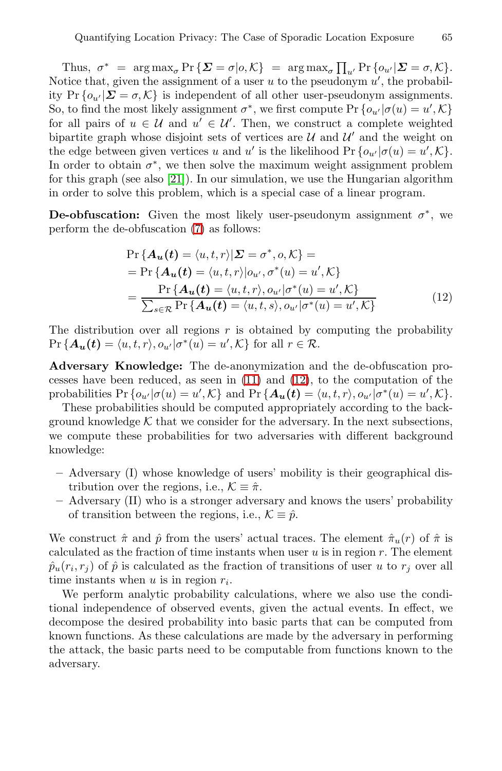Thus,  $\sigma^* = \arg \max_{\sigma} \Pr \{ \mathbf{\Sigma} = \sigma | o, \mathcal{K} \} = \arg \max_{\sigma} \prod_{u'} \Pr \{ o_{u'} | \mathbf{\Sigma} = \sigma, \mathcal{K} \}.$ Notice that, given the assignment of a user  $u$  to the pseudonym  $u'$ , the probability  $Pr\{\omega_{u'}|\mathbf{\Sigma}=\sigma,\mathcal{K}\}\$ is independent of all other user-pseudonym assignments. So, to find the most likely assignment  $\sigma^*$ , we first compute Pr  $\{o_{u'}|\sigma(u) = u', \mathcal{K}\}\$ for all pairs of  $u \in \mathcal{U}$  and  $u' \in \mathcal{U}'$ . Then, we construct a complete weighted bipartite graph whose disjoint sets of vertices are  $\mathcal U$  and  $\mathcal U'$  and the weight on the edge between given vertices u and u' is the likelihood  $Pr\{o_{u'}|\sigma(u) = u', \mathcal{K}\}.$ In order to obtain  $\sigma^*$ , we then solve the maximum weight assignment problem for this graph (see also [\[21\]](#page-17-2)). In our simulation, we use the Hungarian algorithm in order to solve this problem, which is a special case of a linear program.

**De-obfuscation:** Given the most likely user-pseudonym assignment  $\sigma^*$ , we perform the de-obfuscation [\(7\)](#page-6-1) as follows:

<span id="page-8-0"></span>
$$
\Pr\{A_{u}(t) = \langle u, t, r \rangle | \mathbf{\Sigma} = \sigma^{*}, o, \mathcal{K}\} =
$$
\n
$$
= \Pr\{A_{u}(t) = \langle u, t, r \rangle | o_{u'}, \sigma^{*}(u) = u', \mathcal{K}\}
$$
\n
$$
= \frac{\Pr\{A_{u}(t) = \langle u, t, r \rangle, o_{u'} | \sigma^{*}(u) = u', \mathcal{K}\}}{\sum_{s \in \mathcal{R}} \Pr\{A_{u}(t) = \langle u, t, s \rangle, o_{u'} | \sigma^{*}(u) = u', \mathcal{K}\}}
$$
\n(12)

The distribution over all regions  $r$  is obtained by computing the probability  $\Pr\{A_{\boldsymbol{u}}(\boldsymbol{t}) = \langle u, t, r \rangle, o_{u'} | \sigma^*(u) = u', \mathcal{K} \}$  for all  $r \in \mathcal{R}$ .

**Adversary Knowledge:** The de-anonymization and the de-obfuscation processes have been reduced, as seen in [\(11\)](#page-7-0) and [\(12\)](#page-8-0), to the computation of the probabilities  $Pr\{\mathit{o}_{u'}|\sigma(u) = u',\mathcal{K}\}\$ and  $Pr\{\mathbf{A}_{u}(t) = \langle u, t, r \rangle, \mathit{o}_{u'}|\sigma^*(u) = u',\mathcal{K}\}\$ .

These probabilities should be computed appropriately according to the background knowledge  $K$  that we consider for the adversary. In the next subsections, we compute these probabilities for two adversaries with different background knowledge:

- **–** Adversary (I) whose knowledge of users' mobility is their geographical distribution over the regions, i.e.,  $\mathcal{K} \equiv \hat{\pi}$ .
- **–** Adversary (II) who is a stronger adversary and knows the users' probability of transition between the regions, i.e.,  $\mathcal{K} \equiv \hat{p}$ .

We construct  $\hat{\pi}$  and  $\hat{p}$  from the users' actual traces. The element  $\hat{\pi}_u(r)$  of  $\hat{\pi}$  is calculated as the fraction of time instants when user  $u$  is in region  $r$ . The element  $\hat{p}_u(r_i, r_j)$  of  $\hat{p}$  is calculated as the fraction of transitions of user u to  $r_j$  over all time instants when  $u$  is in region  $r_i$ .

We perform analytic probability calculations, where we also use the conditional independence of observed events, given the actual events. In effect, we decompose the desired probability into basic parts that can be computed from known functions. As these calculations are made by the adversary in performing the attack, the basic parts need to be computable from functions known to the adversary.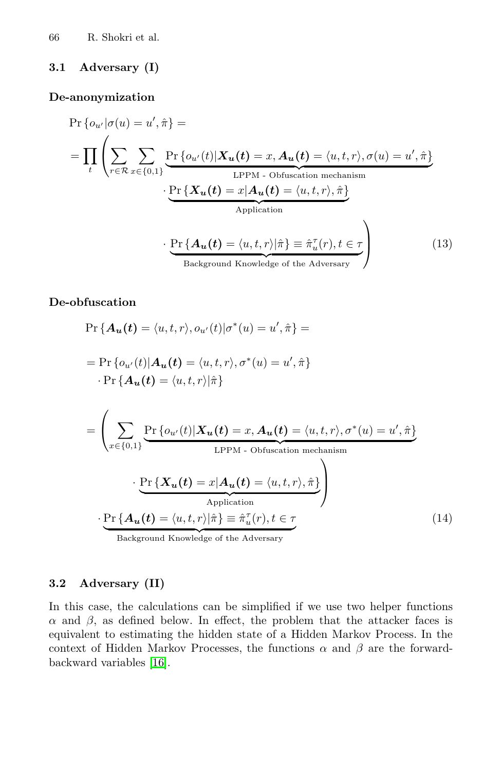#### **3.1 Adversary (I)**

#### **De-anonymization**

$$
\Pr\left\{o_{u'}|\sigma(u) = u', \hat{\pi}\right\} = \prod_{t} \left(\sum_{r \in \mathcal{R}} \sum_{x \in \{0,1\}} \underbrace{\Pr\left\{o_{u'}(t)|\mathbf{X}_{u}(t) = x, \mathbf{A}_{u}(t) = \langle u, t, r \rangle, \sigma(u) = u', \hat{\pi}\right\}}_{\text{LPPM - Obfuscation mechanism}} \cdot \underbrace{\Pr\left\{\mathbf{X}_{u}(t) = x | \mathbf{A}_{u}(t) = \langle u, t, r \rangle, \hat{\pi}\right\}}_{\text{Application}} \cdot \underbrace{\Pr\left\{\mathbf{A}_{u}(t) = \langle u, t, r \rangle | \hat{\pi}\right\}}_{\text{Background Knowledge of the Adversary}} \tag{13}
$$

### **De-obfuscation**

$$
\Pr\{A_{u}(t) = \langle u, t, r \rangle, o_{u'}(t) | \sigma^{*}(u) = u', \hat{\pi}\} =
$$
\n
$$
= \Pr\{o_{u'}(t) | A_{u}(t) = \langle u, t, r \rangle, \sigma^{*}(u) = u', \hat{\pi}\}
$$
\n
$$
\cdot \Pr\{A_{u}(t) = \langle u, t, r \rangle | \hat{\pi}\}
$$
\n
$$
= \left(\sum_{x \in \{0,1\}} \Pr\{o_{u'}(t) | X_{u}(t) = x, A_{u}(t) = \langle u, t, r \rangle, \sigma^{*}(u) = u', \hat{\pi}\}\right)
$$
\n
$$
\cdot \Pr\{X_{u}(t) = x | A_{u}(t) = \langle u, t, r \rangle, \hat{\pi}\}\right)
$$
\n
$$
\cdot \Pr\{A_{u}(t) = \langle u, t, r \rangle | \hat{\pi}\} \equiv \hat{\pi}_{u}^{\tau}(r), t \in \tau
$$
\n
$$
\xrightarrow{\text{Background Knowledge of the Adversary}}
$$
\n(14)

#### **3.2 Adversary (II)**

In this case, the calculations can be simplified if we use two helper functions  $\alpha$  and  $\beta$ , as defined below. In effect, the problem that the attacker faces is equivalent to estimating the hidden state of a Hidden Markov Process. In the context of Hidden Markov Processes, the functions  $\alpha$  and  $\beta$  are the forwardbackward variables [\[16\]](#page-16-4).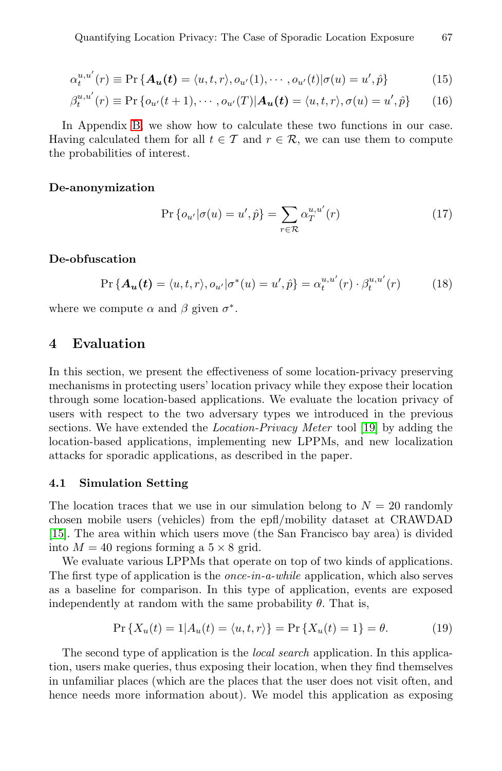$$
\alpha_t^{u,u'}(r) \equiv \Pr\left\{A_u(t) = \langle u, t, r \rangle, o_{u'}(1), \cdots, o_{u'}(t) | \sigma(u) = u', \hat{p} \right\} \tag{15}
$$

$$
\beta_t^{u,u'}(r) \equiv \Pr\left\{o_{u'}(t+1),\cdots,o_{u'}(T)|\mathbf{A}_{u}(t) = \langle u,t,r\rangle,\sigma(u) = u',\hat{p}\right\} \tag{16}
$$

In Appendix [B,](#page-19-1) we show how to calculate these two functions in our case. Having calculated them for all  $t \in \mathcal{T}$  and  $r \in \mathcal{R}$ , we can use them to compute the probabilities of interest.

#### **De-anonymization**

<span id="page-10-2"></span><span id="page-10-1"></span>
$$
\Pr\left\{o_{u'}|\sigma(u) = u', \hat{p}\right\} = \sum_{r \in \mathcal{R}} \alpha_T^{u, u'}(r) \tag{17}
$$

## **De-obfuscation**

$$
\Pr\{A_{u}(t) = \langle u, t, r \rangle, o_{u'} | \sigma^{*}(u) = u', \hat{p}\} = \alpha_{t}^{u, u'}(r) \cdot \beta_{t}^{u, u'}(r) \tag{18}
$$

where we compute  $\alpha$  and  $\beta$  given  $\sigma^*$ .

### <span id="page-10-0"></span>**4 Evaluation**

In this section, we present the effectiveness of some location-privacy preserving mechanisms in protecting users' location privacy while they expose their location through some location-based applications. We evaluate the location privacy of users with respect to the two adversary types we introduced in the previous sections. We have extended the *Location-Privacy Meter* tool [\[19\]](#page-17-1) by adding the location-based applications, implementing new LPPMs, and new localization attacks for sporadic applications, as described in the paper.

#### **4.1 Simulation Setting**

The location traces that we use in our simulation belong to  $N = 20$  randomly chosen mobile users (vehicles) from the epfl/mobility dataset at CRAWDAD [\[15\]](#page-16-5). The area within which users move (the San Francisco bay area) is divided into  $M = 40$  regions forming a  $5 \times 8$  grid.

We evaluate various LPPMs that operate on top of two kinds of applications. The first type of application is the *once-in-a-while* application, which also serves as a baseline for comparison. In this type of application, events are exposed independently at random with the same probability  $\theta$ . That is,

$$
\Pr\{X_u(t) = 1 | A_u(t) = \langle u, t, r \rangle\} = \Pr\{X_u(t) = 1\} = \theta.
$$
 (19)

The second type of application is the *local search* application. In this application, users make queries, thus exposing their location, when they find themselves in unfamiliar places (which are the places that the user does not visit often, and hence needs more information about). We model this application as exposing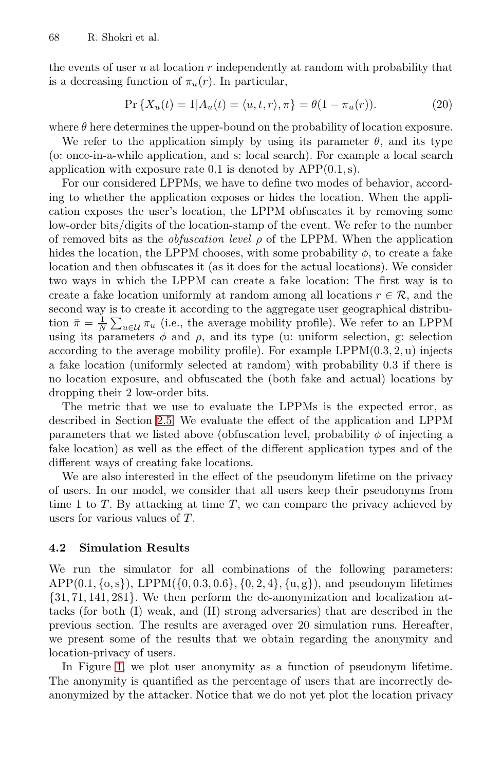the events of user  $u$  at location  $r$  independently at random with probability that is a decreasing function of  $\pi_u(r)$ . In particular,

$$
\Pr\{X_u(t) = 1 | A_u(t) = \langle u, t, r \rangle, \pi\} = \theta(1 - \pi_u(r)).\tag{20}
$$

where  $\theta$  here determines the upper-bound on the probability of location exposure.

We refer to the application simply by using its parameter  $\theta$ , and its type (o: once-in-a-while application, and s: local search). For example a local search application with exposure rate 0.1 is denoted by  $APP(0.1, s)$ .

For our considered LPPMs, we have to define two modes of behavior, according to whether the application exposes or hides the location. When the application exposes the user's location, the LPPM obfuscates it by removing some low-order bits/digits of the location-stamp of the event. We refer to the number of removed bits as the *obfuscation level* ρ of the LPPM. When the application hides the location, the LPPM chooses, with some probability  $\phi$ , to create a fake location and then obfuscates it (as it does for the actual locations). We consider two ways in which the LPPM can create a fake location: The first way is to create a fake location uniformly at random among all locations  $r \in \mathcal{R}$ , and the second way is to create it according to the aggregate user geographical distribution  $\bar{\pi} = \frac{1}{N} \sum_{u \in \mathcal{U}} \pi_u$  (i.e., the average mobility profile). We refer to an LPPM using its parameters  $\phi$  and  $\rho$ , and its type (u: uniform selection, g: selection according to the average mobility profile). For example  $\text{LPPM}(0.3, 2, u)$  injects a fake location (uniformly selected at random) with probability 0.3 if there is no location exposure, and obfuscated the (both fake and actual) locations by dropping their 2 low-order bits.

The metric that we use to evaluate the LPPMs is the expected error, as described in Section [2.5.](#page-5-2) We evaluate the effect of the application and LPPM parameters that we listed above (obfuscation level, probability  $\phi$  of injecting a fake location) as well as the effect of the different application types and of the different ways of creating fake locations.

We are also interested in the effect of the pseudonym lifetime on the privacy of users. In our model, we consider that all users keep their pseudonyms from time 1 to  $T$ . By attacking at time  $T$ , we can compare the privacy achieved by users for various values of T.

#### **4.2 Simulation Results**

We run the simulator for all combinations of the following parameters: APP $(0.1, \{o, s\})$ , LPPM $(\{0, 0.3, 0.6\}, \{0, 2, 4\}, \{u, g\})$ , and pseudonym lifetimes {31, 71, 141, 281}. We then perform the de-anonymization and localization attacks (for both (I) weak, and (II) strong adversaries) that are described in the previous section. The results are averaged over 20 simulation runs. Hereafter, we present some of the results that we obtain regarding the anonymity and location-privacy of users.

In Figure [1,](#page-12-0) we plot user anonymity as a function of pseudonym lifetime. The anonymity is quantified as the percentage of users that are incorrectly deanonymized by the attacker. Notice that we do not yet plot the location privacy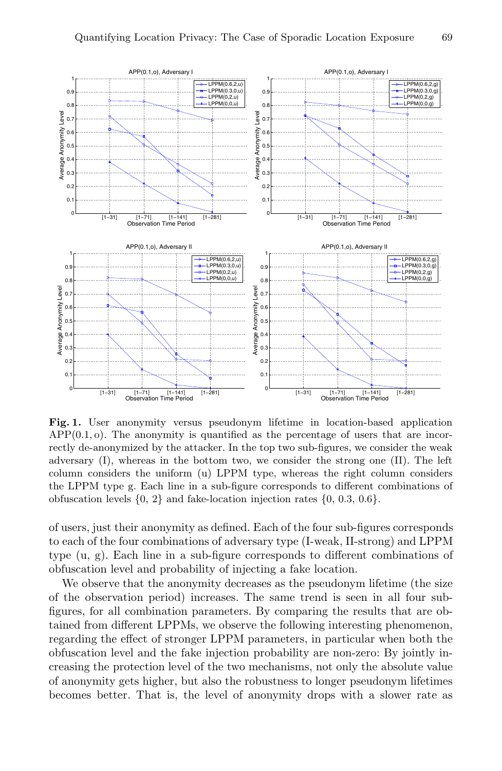

<span id="page-12-0"></span>**Fig. 1.** User anonymity versus pseudonym lifetime in location-based application  $APP(0.1, 0)$ . The anonymity is quantified as the percentage of users that are incorrectly de-anonymized by the attacker. In the top two sub-figures, we consider the weak adversary (I), whereas in the bottom two, we consider the strong one (II). The left column considers the uniform (u) LPPM type, whereas the right column considers the LPPM type g. Each line in a sub-figure corresponds to different combinations of obfuscation levels  $\{0, 2\}$  and fake-location injection rates  $\{0, 0.3, 0.6\}$ .

of users, just their anonymity as defined. Each of the four sub-figures corresponds to each of the four combinations of adversary type (I-weak, II-strong) and LPPM type (u, g). Each line in a sub-figure corresponds to different combinations of obfuscation level and probability of injecting a fake location.

We observe that the anonymity decreases as the pseudonym lifetime (the size of the observation period) increases. The same trend is seen in all four subfigures, for all combination parameters. By comparing the results that are obtained from different LPPMs, we observe the following interesting phenomenon, regarding the effect of stronger LPPM parameters, in particular when both the obfuscation level and the fake injection probability are non-zero: By jointly increasing the protection level of the two mechanisms, not only the absolute value of anonymity gets higher, but also the robustness to longer pseudonym lifetimes becomes better. That is, the level of anonymity drops with a slower rate as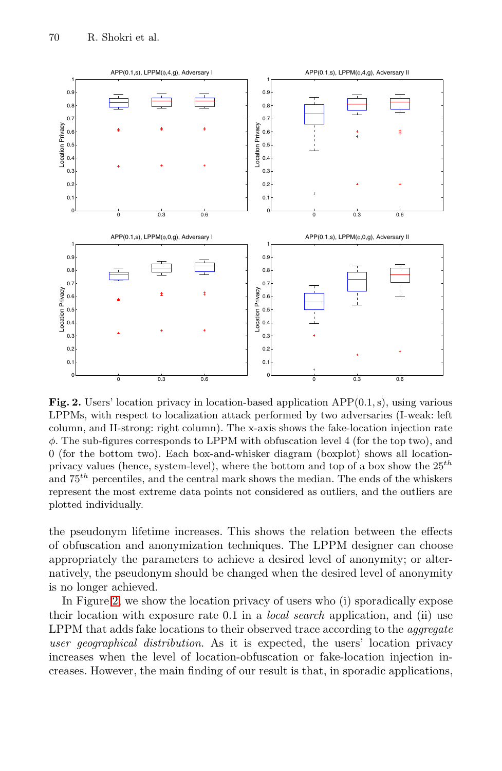

<span id="page-13-0"></span>**Fig. 2.** Users' location privacy in location-based application APP(0.1, s), using various LPPMs, with respect to localization attack performed by two adversaries (I-weak: left column, and II-strong: right column). The x-axis shows the fake-location injection rate  $\phi$ . The sub-figures corresponds to LPPM with obfuscation level 4 (for the top two), and 0 (for the bottom two). Each box-and-whisker diagram (boxplot) shows all locationprivacy values (hence, system-level), where the bottom and top of a box show the 25*th* and 75*th* percentiles, and the central mark shows the median. The ends of the whiskers represent the most extreme data points not considered as outliers, and the outliers are plotted individually.

the pseudonym lifetime increases. This shows the relation between the effects of obfuscation and anonymization techniques. The LPPM designer can choose appropriately the parameters to achieve a desired level of anonymity; or alternatively, the pseudonym should be changed when the desired level of anonymity is no longer achieved.

In Figure [2,](#page-13-0) we show the location privacy of users who (i) sporadically expose their location with exposure rate 0.1 in a *local search* application, and (ii) use LPPM that adds fake locations to their observed trace according to the *aggregate user geographical distribution*. As it is expected, the users' location privacy increases when the level of location-obfuscation or fake-location injection increases. However, the main finding of our result is that, in sporadic applications,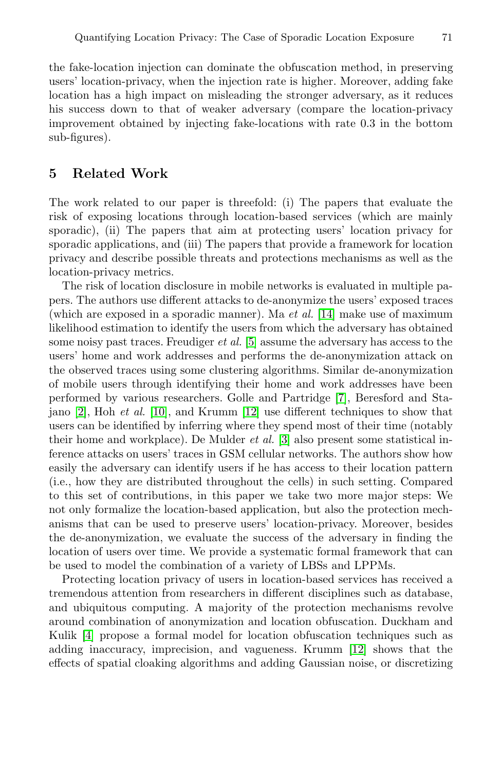the fake-location injection can dominate the obfuscation method, in preserving users' location-privacy, when the injection rate is higher. Moreover, adding fake location has a high impact on misleading the stronger adversary, as it reduces his success down to that of weaker adversary (compare the location-privacy improvement obtained by injecting fake-locations with rate 0.3 in the bottom sub-figures).

## <span id="page-14-0"></span>**5 Related Work**

The work related to our paper is threefold: (i) The papers that evaluate the risk of exposing locations through location-based services (which are mainly sporadic), (ii) The papers that aim at protecting users' location privacy for sporadic applications, and (iii) The papers that provide a framework for location privacy and describe possible threats and protections mechanisms as well as the location-privacy metrics.

The risk of location disclosure in mobile networks is evaluated in multiple papers. The authors use different attacks to de-anonymize the users' exposed traces (which are exposed in a sporadic manner). Ma *et al.* [\[14\]](#page-16-6) make use of maximum likelihood estimation to identify the users from which the adversary has obtained some noisy past traces. Freudiger *et al.* [\[5\]](#page-16-7) assume the adversary has access to the users' home and work addresses and performs the de-anonymization attack on the observed traces using some clustering algorithms. Similar de-anonymization of mobile users through identifying their home and work addresses have been performed by various researchers. Golle and Partridge [\[7\]](#page-16-8), Beresford and Stajano [\[2\]](#page-16-9), Hoh *et al.* [\[10\]](#page-16-10), and Krumm [\[12\]](#page-16-11) use different techniques to show that users can be identified by inferring where they spend most of their time (notably their home and workplace). De Mulder *et al.* [\[3\]](#page-16-12) also present some statistical inference attacks on users' traces in GSM cellular networks. The authors show how easily the adversary can identify users if he has access to their location pattern (i.e., how they are distributed throughout the cells) in such setting. Compared to this set of contributions, in this paper we take two more major steps: We not only formalize the location-based application, but also the protection mechanisms that can be used to preserve users' location-privacy. Moreover, besides the de-anonymization, we evaluate the success of the adversary in finding the location of users over time. We provide a systematic formal framework that can be used to model the combination of a variety of LBSs and LPPMs.

Protecting location privacy of users in location-based services has received a tremendous attention from researchers in different disciplines such as database, and ubiquitous computing. A majority of the protection mechanisms revolve around combination of anonymization and location obfuscation. Duckham and Kulik [\[4\]](#page-16-13) propose a formal model for location obfuscation techniques such as adding inaccuracy, imprecision, and vagueness. Krumm [\[12\]](#page-16-11) shows that the effects of spatial cloaking algorithms and adding Gaussian noise, or discretizing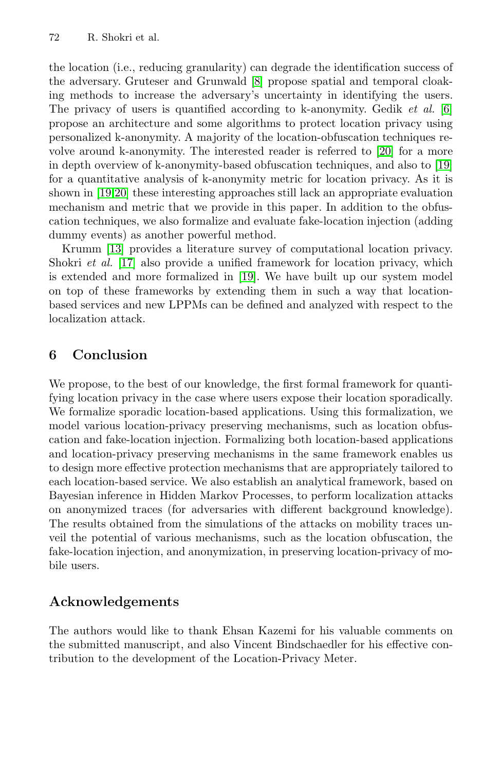the location (i.e., reducing granularity) can degrade the identification success of the adversary. Gruteser and Grunwald [\[8\]](#page-16-14) propose spatial and temporal cloaking methods to increase the adversary's uncertainty in identifying the users. The privacy of users is quantified according to k-anonymity. Gedik *et al.* [\[6\]](#page-16-15) propose an architecture and some algorithms to protect location privacy using personalized k-anonymity. A majority of the location-obfuscation techniques revolve around k-anonymity. The interested reader is referred to [\[20\]](#page-17-3) for a more in depth overview of k-anonymity-based obfuscation techniques, and also to [\[19\]](#page-17-1) for a quantitative analysis of k-anonymity metric for location privacy. As it is shown in [\[19](#page-17-1)[,20\]](#page-17-3) these interesting approaches still lack an appropriate evaluation mechanism and metric that we provide in this paper. In addition to the obfuscation techniques, we also formalize and evaluate fake-location injection (adding dummy events) as another powerful method.

Krumm [\[13\]](#page-16-16) provides a literature survey of computational location privacy. Shokri *et al.* [\[17\]](#page-16-0) also provide a unified framework for location privacy, which is extended and more formalized in [\[19\]](#page-17-1). We have built up our system model on top of these frameworks by extending them in such a way that locationbased services and new LPPMs can be defined and analyzed with respect to the localization attack.

## <span id="page-15-0"></span>**6 Conclusion**

We propose, to the best of our knowledge, the first formal framework for quantifying location privacy in the case where users expose their location sporadically. We formalize sporadic location-based applications. Using this formalization, we model various location-privacy preserving mechanisms, such as location obfuscation and fake-location injection. Formalizing both location-based applications and location-privacy preserving mechanisms in the same framework enables us to design more effective protection mechanisms that are appropriately tailored to each location-based service. We also establish an analytical framework, based on Bayesian inference in Hidden Markov Processes, to perform localization attacks on anonymized traces (for adversaries with different background knowledge). The results obtained from the simulations of the attacks on mobility traces unveil the potential of various mechanisms, such as the location obfuscation, the fake-location injection, and anonymization, in preserving location-privacy of mobile users.

## **Acknowledgements**

The authors would like to thank Ehsan Kazemi for his valuable comments on the submitted manuscript, and also Vincent Bindschaedler for his effective contribution to the development of the Location-Privacy Meter.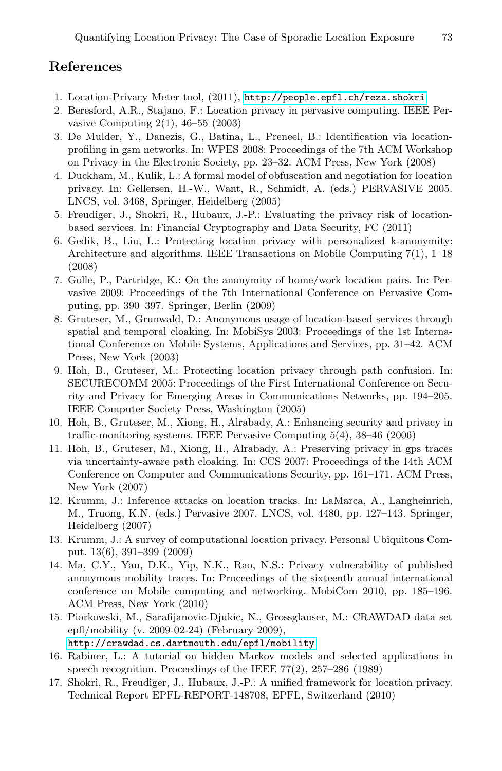## **References**

- <span id="page-16-9"></span><span id="page-16-1"></span>1. Location-Privacy Meter tool, (2011), <http://people.epfl.ch/reza.shokri>
- 2. Beresford, A.R., Stajano, F.: Location privacy in pervasive computing. IEEE Pervasive Computing 2(1), 46–55 (2003)
- <span id="page-16-12"></span>3. De Mulder, Y., Danezis, G., Batina, L., Preneel, B.: Identification via locationprofiling in gsm networks. In: WPES 2008: Proceedings of the 7th ACM Workshop on Privacy in the Electronic Society, pp. 23–32. ACM Press, New York (2008)
- <span id="page-16-13"></span>4. Duckham, M., Kulik, L.: A formal model of obfuscation and negotiation for location privacy. In: Gellersen, H.-W., Want, R., Schmidt, A. (eds.) PERVASIVE 2005. LNCS, vol. 3468, Springer, Heidelberg (2005)
- <span id="page-16-7"></span>5. Freudiger, J., Shokri, R., Hubaux, J.-P.: Evaluating the privacy risk of locationbased services. In: Financial Cryptography and Data Security, FC (2011)
- <span id="page-16-15"></span>6. Gedik, B., Liu, L.: Protecting location privacy with personalized k-anonymity: Architecture and algorithms. IEEE Transactions on Mobile Computing 7(1), 1–18 (2008)
- <span id="page-16-8"></span>7. Golle, P., Partridge, K.: On the anonymity of home/work location pairs. In: Pervasive 2009: Proceedings of the 7th International Conference on Pervasive Computing, pp. 390–397. Springer, Berlin (2009)
- <span id="page-16-14"></span>8. Gruteser, M., Grunwald, D.: Anonymous usage of location-based services through spatial and temporal cloaking. In: MobiSys 2003: Proceedings of the 1st International Conference on Mobile Systems, Applications and Services, pp. 31–42. ACM Press, New York (2003)
- <span id="page-16-2"></span>9. Hoh, B., Gruteser, M.: Protecting location privacy through path confusion. In: SECURECOMM 2005: Proceedings of the First International Conference on Security and Privacy for Emerging Areas in Communications Networks, pp. 194–205. IEEE Computer Society Press, Washington (2005)
- <span id="page-16-10"></span>10. Hoh, B., Gruteser, M., Xiong, H., Alrabady, A.: Enhancing security and privacy in traffic-monitoring systems. IEEE Pervasive Computing 5(4), 38–46 (2006)
- <span id="page-16-3"></span>11. Hoh, B., Gruteser, M., Xiong, H., Alrabady, A.: Preserving privacy in gps traces via uncertainty-aware path cloaking. In: CCS 2007: Proceedings of the 14th ACM Conference on Computer and Communications Security, pp. 161–171. ACM Press, New York (2007)
- <span id="page-16-11"></span>12. Krumm, J.: Inference attacks on location tracks. In: LaMarca, A., Langheinrich, M., Truong, K.N. (eds.) Pervasive 2007. LNCS, vol. 4480, pp. 127–143. Springer, Heidelberg (2007)
- <span id="page-16-16"></span>13. Krumm, J.: A survey of computational location privacy. Personal Ubiquitous Comput. 13(6), 391–399 (2009)
- <span id="page-16-6"></span>14. Ma, C.Y., Yau, D.K., Yip, N.K., Rao, N.S.: Privacy vulnerability of published anonymous mobility traces. In: Proceedings of the sixteenth annual international conference on Mobile computing and networking. MobiCom 2010, pp. 185–196. ACM Press, New York (2010)
- <span id="page-16-5"></span>15. Piorkowski, M., Sarafijanovic-Djukic, N., Grossglauser, M.: CRAWDAD data set epfl/mobility (v. 2009-02-24) (February 2009), <http://crawdad.cs.dartmouth.edu/epfl/mobility>
- <span id="page-16-4"></span>16. Rabiner, L.: A tutorial on hidden Markov models and selected applications in speech recognition. Proceedings of the IEEE 77(2), 257–286 (1989)
- <span id="page-16-0"></span>17. Shokri, R., Freudiger, J., Hubaux, J.-P.: A unified framework for location privacy. Technical Report EPFL-REPORT-148708, EPFL, Switzerland (2010)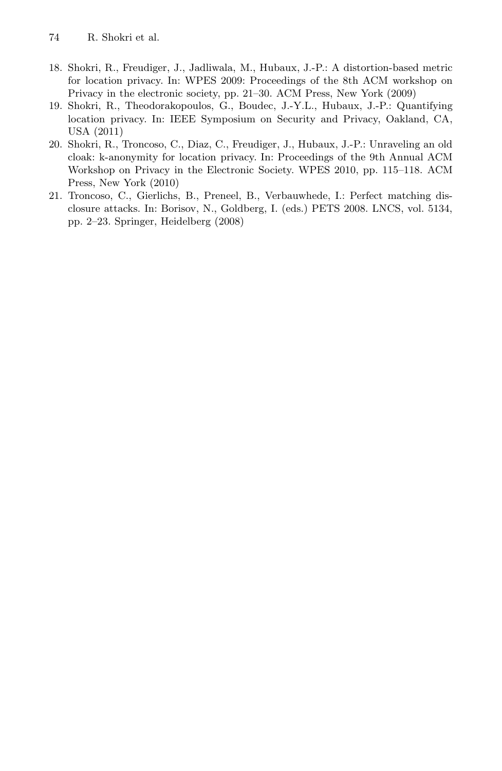- <span id="page-17-0"></span>18. Shokri, R., Freudiger, J., Jadliwala, M., Hubaux, J.-P.: A distortion-based metric for location privacy. In: WPES 2009: Proceedings of the 8th ACM workshop on Privacy in the electronic society, pp. 21–30. ACM Press, New York (2009)
- <span id="page-17-1"></span>19. Shokri, R., Theodorakopoulos, G., Boudec, J.-Y.L., Hubaux, J.-P.: Quantifying location privacy. In: IEEE Symposium on Security and Privacy, Oakland, CA, USA (2011)
- <span id="page-17-3"></span>20. Shokri, R., Troncoso, C., Diaz, C., Freudiger, J., Hubaux, J.-P.: Unraveling an old cloak: k-anonymity for location privacy. In: Proceedings of the 9th Annual ACM Workshop on Privacy in the Electronic Society. WPES 2010, pp. 115–118. ACM Press, New York (2010)
- <span id="page-17-2"></span>21. Troncoso, C., Gierlichs, B., Preneel, B., Verbauwhede, I.: Perfect matching disclosure attacks. In: Borisov, N., Goldberg, I. (eds.) PETS 2008. LNCS, vol. 5134, pp. 2–23. Springer, Heidelberg (2008)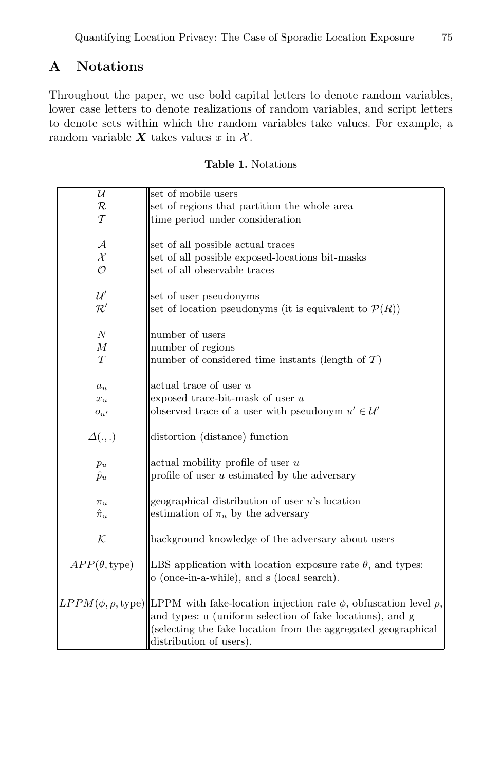## **A Notations**

Throughout the paper, we use bold capital letters to denote random variables, lower case letters to denote realizations of random variables, and script letters to denote sets within which the random variables take values. For example, a random variable  $X$  takes values  $x$  in  $X$ .

|  | <b>Table 1. Notations</b> |
|--|---------------------------|
|  |                           |

| $\mathcal{U}$                   | set of mobile users                                                        |
|---------------------------------|----------------------------------------------------------------------------|
| ${\cal R}$                      | set of regions that partition the whole area                               |
| $\mathcal T$                    | time period under consideration                                            |
|                                 |                                                                            |
| ${\cal A}$                      | set of all possible actual traces                                          |
| $\mathcal{X}$                   | set of all possible exposed-locations bit-masks                            |
| $\mathcal{O}$                   | set of all observable traces                                               |
|                                 |                                                                            |
| $\mathcal{U}'$                  | set of user pseudonyms                                                     |
| $\mathcal{R}'$                  | set of location pseudonyms (it is equivalent to $\mathcal{P}(R)$ )         |
| $\boldsymbol{N}$                | number of users                                                            |
| $\boldsymbol{M}$                | number of regions                                                          |
| T                               | number of considered time instants (length of $\mathcal{T}$ )              |
|                                 |                                                                            |
| $a_u$                           | actual trace of user $u$                                                   |
| $x_u$                           | exposed trace-bit-mask of user $u$                                         |
| $O_{u'}$                        | observed trace of a user with pseudonym $u' \in \mathcal{U}'$              |
|                                 |                                                                            |
| $\Delta(.,.)$                   | distortion (distance) function                                             |
|                                 |                                                                            |
| $p_u$                           | actual mobility profile of user $u$                                        |
| $\hat{p}_u$                     | profile of user $u$ estimated by the adversary                             |
|                                 |                                                                            |
| $\pi_u$                         | geographical distribution of user $u$ 's location                          |
| $\hat{\pi}_u$                   | estimation of $\pi_u$ by the adversary                                     |
| $\mathcal{K}$                   |                                                                            |
|                                 | background knowledge of the adversary about users                          |
| $APP(\theta, type)$             | LBS application with location exposure rate $\theta$ , and types:          |
|                                 | o (once-in-a-while), and s (local search).                                 |
|                                 |                                                                            |
| $LPPM(\phi, \rho, \text{type})$ | LPPM with fake-location injection rate $\phi$ , obfuscation level $\rho$ , |
|                                 | and types: u (uniform selection of fake locations), and g                  |
|                                 | (selecting the fake location from the aggregated geographical              |
|                                 | distribution of users).                                                    |